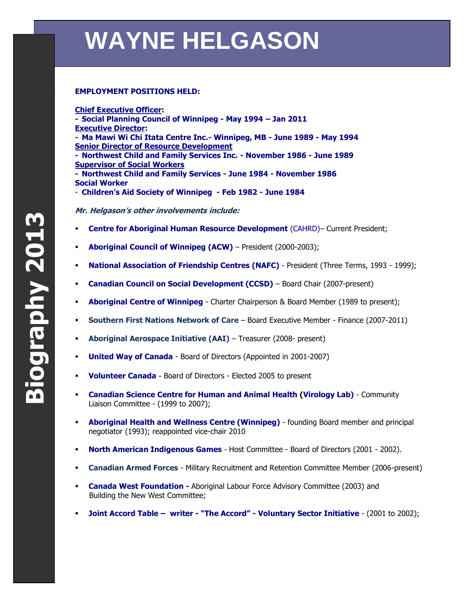## **WAYNE HELGASON**

## **223 EMPLOYMENT POSITIONS HELD:**

**Chief Executive Officer:**

**- Social Planning Council of Winnipeg - May 1994 – Jan 2011 Executive Director: - Ma Mawi Wi Chi Itata Centre Inc.- Winnipeg, MB - June 1989 - May 1994 Senior Director of Resource Development - Northwest Child and Family Services Inc. - November 1986 - June 1989 Supervisor of Social Workers - Northwest Child and Family Services - June 1984 - November 1986 Social Worker** - **Children's Aid Society of Winnipeg - Feb 1982 - June 1984**

**Mr. Helgason's other involvements include:**

- **Centre for Aboriginal Human Resource Development** (CAHRD)– Current President;
- **Aboriginal Council of Winnipeg (ACW)** President (2000-2003);
- **National Association of Friendship Centres (NAFC)** President (Three Terms, 1993 1999);
- **Canadian Council on Social Development (CCSD)** Board Chair (2007-present)
- **Aboriginal Centre of Winnipeg** Charter Chairperson & Board Member (1989 to present);
- **Southern First Nations Network of Care** Board Executive Member Finance (2007-2011)
- **Aboriginal Aerospace Initiative (AAI)** Treasurer (2008- present)
- **United Way of Canada** Board of Directors (Appointed in 2001-2007)
- **Volunteer Canada** Board of Directors Elected 2005 to present
- **Canadian Science Centre for Human and Animal Health (Virology Lab)**  Community Liaison Committee - (1999 to 2007);
- **Aboriginal Health and Wellness Centre (Winnipeg)** founding Board member and principal negotiator (1993); reappointed vice-chair 2010
- **North American Indigenous Games**  Host Committee Board of Directors (2001 2002).
- **Canadian Armed Forces** Military Recruitment and Retention Committee Member (2006-present)
- **Canada West Foundation -** Aboriginal Labour Force Advisory Committee (2003) and Building the New West Committee;
- **Joint Accord Table – writer - "The Accord" - Voluntary Sector Initiative**  (2001 to 2002);